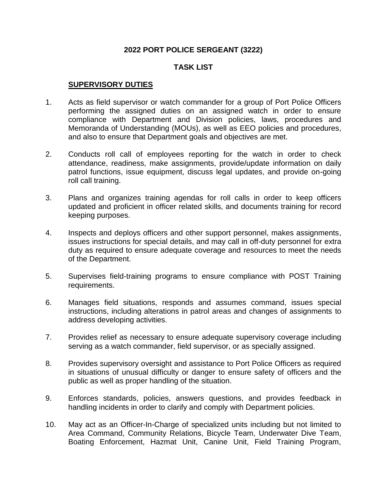## **2022 PORT POLICE SERGEANT (3222)**

## **TASK LIST**

#### **SUPERVISORY DUTIES**

- 1. Acts as field supervisor or watch commander for a group of Port Police Officers performing the assigned duties on an assigned watch in order to ensure compliance with Department and Division policies, laws, procedures and Memoranda of Understanding (MOUs), as well as EEO policies and procedures, and also to ensure that Department goals and objectives are met.
- 2. Conducts roll call of employees reporting for the watch in order to check attendance, readiness, make assignments, provide/update information on daily patrol functions, issue equipment, discuss legal updates, and provide on-going roll call training.
- 3. Plans and organizes training agendas for roll calls in order to keep officers updated and proficient in officer related skills, and documents training for record keeping purposes.
- 4. Inspects and deploys officers and other support personnel, makes assignments, issues instructions for special details, and may call in off-duty personnel for extra duty as required to ensure adequate coverage and resources to meet the needs of the Department.
- 5. Supervises field-training programs to ensure compliance with POST Training requirements.
- 6. Manages field situations, responds and assumes command, issues special instructions, including alterations in patrol areas and changes of assignments to address developing activities.
- 7. Provides relief as necessary to ensure adequate supervisory coverage including serving as a watch commander, field supervisor, or as specially assigned.
- 8. Provides supervisory oversight and assistance to Port Police Officers as required in situations of unusual difficulty or danger to ensure safety of officers and the public as well as proper handling of the situation.
- 9. Enforces standards, policies, answers questions, and provides feedback in handling incidents in order to clarify and comply with Department policies.
- 10. May act as an Officer-In-Charge of specialized units including but not limited to Area Command, Community Relations, Bicycle Team, Underwater Dive Team, Boating Enforcement, Hazmat Unit, Canine Unit, Field Training Program,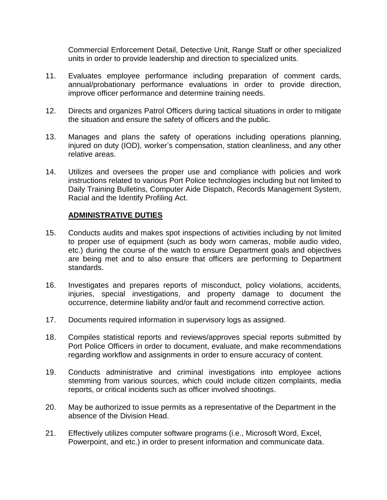Commercial Enforcement Detail, Detective Unit, Range Staff or other specialized units in order to provide leadership and direction to specialized units.

- 11. Evaluates employee performance including preparation of comment cards, annual/probationary performance evaluations in order to provide direction, improve officer performance and determine training needs.
- 12. Directs and organizes Patrol Officers during tactical situations in order to mitigate the situation and ensure the safety of officers and the public.
- 13. Manages and plans the safety of operations including operations planning, injured on duty (IOD), worker's compensation, station cleanliness, and any other relative areas.
- 14. Utilizes and oversees the proper use and compliance with policies and work instructions related to various Port Police technologies including but not limited to Daily Training Bulletins, Computer Aide Dispatch, Records Management System, Racial and the Identify Profiling Act.

#### **ADMINISTRATIVE DUTIES**

- 15. Conducts audits and makes spot inspections of activities including by not limited to proper use of equipment (such as body worn cameras, mobile audio video, etc.) during the course of the watch to ensure Department goals and objectives are being met and to also ensure that officers are performing to Department standards.
- 16. Investigates and prepares reports of misconduct, policy violations, accidents, injuries, special investigations, and property damage to document the occurrence, determine liability and/or fault and recommend corrective action.
- 17. Documents required information in supervisory logs as assigned.
- 18. Compiles statistical reports and reviews/approves special reports submitted by Port Police Officers in order to document, evaluate, and make recommendations regarding workflow and assignments in order to ensure accuracy of content.
- 19. Conducts administrative and criminal investigations into employee actions stemming from various sources, which could include citizen complaints, media reports, or critical incidents such as officer involved shootings.
- 20. May be authorized to issue permits as a representative of the Department in the absence of the Division Head.
- 21. Effectively utilizes computer software programs (i.e., Microsoft Word, Excel, Powerpoint, and etc.) in order to present information and communicate data.